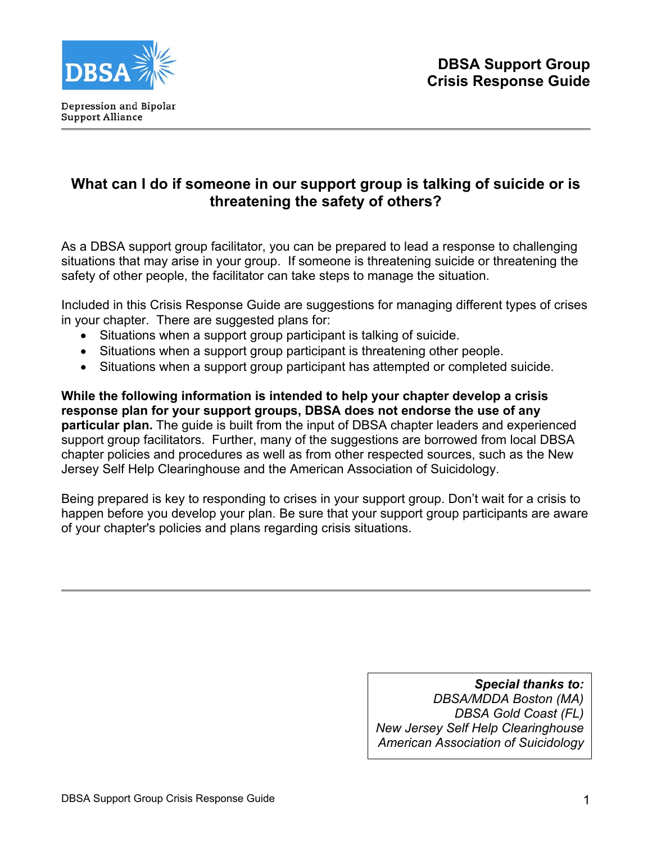

# **What can I do if someone in our support group is talking of suicide or is threatening the safety of others?**

As a DBSA support group facilitator, you can be prepared to lead a response to challenging situations that may arise in your group. If someone is threatening suicide or threatening the safety of other people, the facilitator can take steps to manage the situation.

Included in this Crisis Response Guide are suggestions for managing different types of crises in your chapter. There are suggested plans for:

- Situations when a support group participant is talking of suicide.
- Situations when a support group participant is threatening other people.
- Situations when a support group participant has attempted or completed suicide.

**While the following information is intended to help your chapter develop a crisis response plan for your support groups, DBSA does not endorse the use of any particular plan.** The guide is built from the input of DBSA chapter leaders and experienced support group facilitators. Further, many of the suggestions are borrowed from local DBSA chapter policies and procedures as well as from other respected sources, such as the New Jersey Self Help Clearinghouse and the American Association of Suicidology.

Being prepared is key to responding to crises in your support group. Don't wait for a crisis to happen before you develop your plan. Be sure that your support group participants are aware of your chapter's policies and plans regarding crisis situations.

> *Special thanks to: DBSA/MDDA Boston (MA) DBSA Gold Coast (FL) New Jersey Self Help Clearinghouse American Association of Suicidology*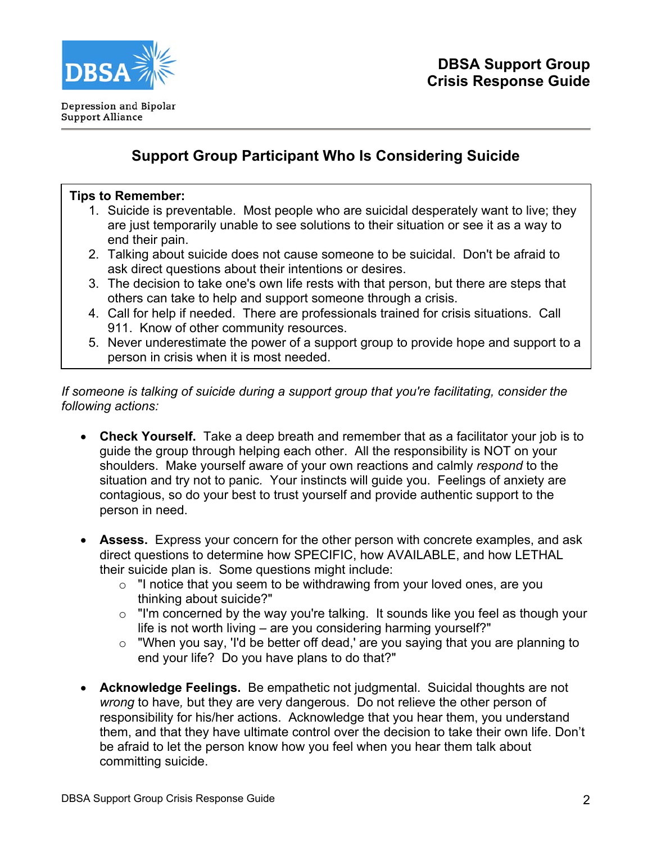

# **Support Group Participant Who Is Considering Suicide**

## **Tips to Remember:**

- 1. Suicide is preventable. Most people who are suicidal desperately want to live; they are just temporarily unable to see solutions to their situation or see it as a way to end their pain.
- 2. Talking about suicide does not cause someone to be suicidal. Don't be afraid to ask direct questions about their intentions or desires.
- 3. The decision to take one's own life rests with that person, but there are steps that others can take to help and support someone through a crisis.
- 4. Call for help if needed. There are professionals trained for crisis situations. Call 911. Know of other community resources.
- 5. Never underestimate the power of a support group to provide hope and support to a person in crisis when it is most needed.

*If someone is talking of suicide during a support group that you're facilitating, consider the following actions:* 

- **Check Yourself.** Take a deep breath and remember that as a facilitator your job is to guide the group through helping each other. All the responsibility is NOT on your shoulders. Make yourself aware of your own reactions and calmly *respond* to the situation and try not to panic*.* Your instincts will guide you. Feelings of anxiety are contagious, so do your best to trust yourself and provide authentic support to the person in need.
- **Assess.** Express your concern for the other person with concrete examples, and ask direct questions to determine how SPECIFIC, how AVAILABLE, and how LETHAL their suicide plan is. Some questions might include:
	- o "I notice that you seem to be withdrawing from your loved ones, are you thinking about suicide?"
	- o "I'm concerned by the way you're talking. It sounds like you feel as though your life is not worth living – are you considering harming yourself?"
	- o "When you say, 'I'd be better off dead,' are you saying that you are planning to end your life? Do you have plans to do that?"
- **Acknowledge Feelings.** Be empathetic not judgmental. Suicidal thoughts are not *wrong* to have*,* but they are very dangerous. Do not relieve the other person of responsibility for his/her actions. Acknowledge that you hear them, you understand them, and that they have ultimate control over the decision to take their own life. Don't be afraid to let the person know how you feel when you hear them talk about committing suicide.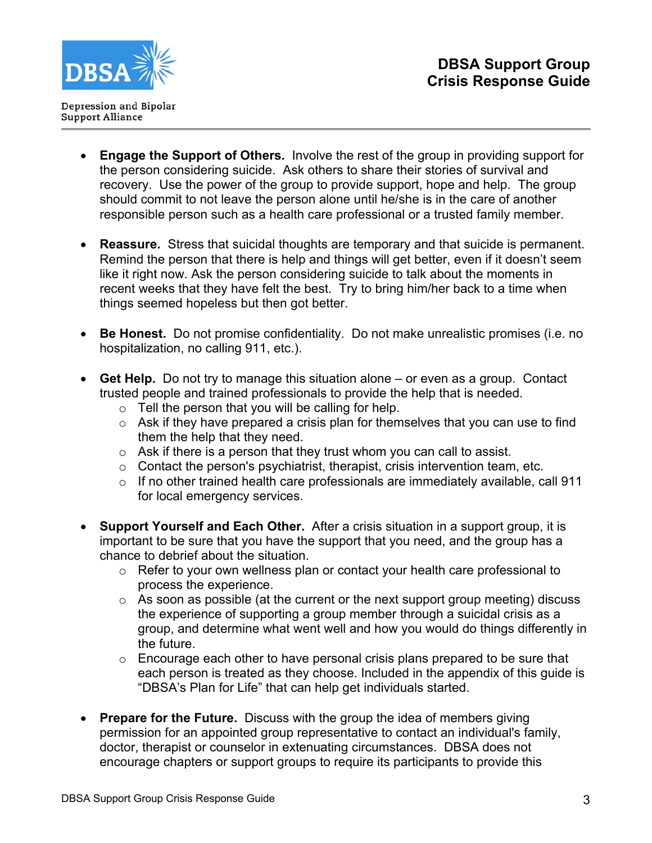

- **Engage the Support of Others.** Involve the rest of the group in providing support for the person considering suicide. Ask others to share their stories of survival and recovery. Use the power of the group to provide support, hope and help. The group should commit to not leave the person alone until he/she is in the care of another responsible person such as a health care professional or a trusted family member.
- **Reassure.** Stress that suicidal thoughts are temporary and that suicide is permanent. Remind the person that there is help and things will get better, even if it doesn't seem like it right now. Ask the person considering suicide to talk about the moments in recent weeks that they have felt the best. Try to bring him/her back to a time when things seemed hopeless but then got better.
- **Be Honest.** Do not promise confidentiality. Do not make unrealistic promises (i.e. no hospitalization, no calling 911, etc.).
- **Get Help.** Do not try to manage this situation alone or even as a group. Contact trusted people and trained professionals to provide the help that is needed.
	- $\circ$  Tell the person that you will be calling for help.
	- $\circ$  Ask if they have prepared a crisis plan for themselves that you can use to find them the help that they need.
	- $\circ$  Ask if there is a person that they trust whom you can call to assist.
	- $\circ$  Contact the person's psychiatrist, therapist, crisis intervention team, etc.
	- $\circ$  If no other trained health care professionals are immediately available, call 911 for local emergency services.
- **Support Yourself and Each Other.** After a crisis situation in a support group, it is important to be sure that you have the support that you need, and the group has a chance to debrief about the situation.
	- $\circ$  Refer to your own wellness plan or contact your health care professional to process the experience.
	- $\circ$  As soon as possible (at the current or the next support group meeting) discuss the experience of supporting a group member through a suicidal crisis as a group, and determine what went well and how you would do things differently in the future.
	- o Encourage each other to have personal crisis plans prepared to be sure that each person is treated as they choose. Included in the appendix of this guide is "DBSA's Plan for Life" that can help get individuals started.
- **Prepare for the Future.** Discuss with the group the idea of members giving permission for an appointed group representative to contact an individual's family, doctor, therapist or counselor in extenuating circumstances. DBSA does not encourage chapters or support groups to require its participants to provide this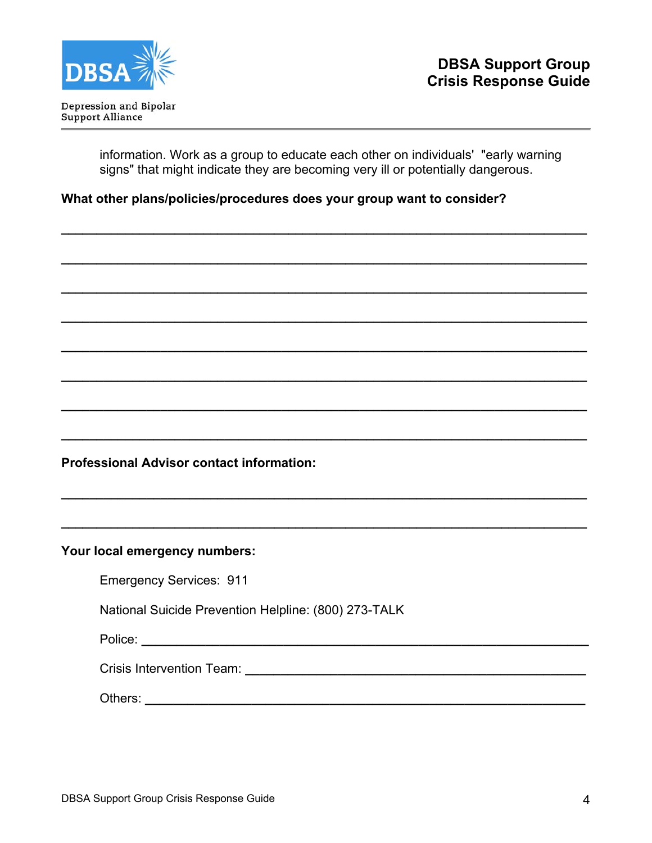

information. Work as a group to educate each other on individuals' "early warning signs" that might indicate they are becoming very ill or potentially dangerous.

**\_\_\_\_\_\_\_\_\_\_\_\_\_\_\_\_\_\_\_\_\_\_\_\_\_\_\_\_\_\_\_\_\_\_\_\_\_\_\_\_\_\_\_\_\_\_\_\_\_\_\_\_\_\_\_\_\_\_\_\_\_\_\_\_\_\_\_\_\_\_\_\_\_\_**

**\_\_\_\_\_\_\_\_\_\_\_\_\_\_\_\_\_\_\_\_\_\_\_\_\_\_\_\_\_\_\_\_\_\_\_\_\_\_\_\_\_\_\_\_\_\_\_\_\_\_\_\_\_\_\_\_\_\_\_\_\_\_\_\_\_\_\_\_\_\_\_\_\_\_**

**\_\_\_\_\_\_\_\_\_\_\_\_\_\_\_\_\_\_\_\_\_\_\_\_\_\_\_\_\_\_\_\_\_\_\_\_\_\_\_\_\_\_\_\_\_\_\_\_\_\_\_\_\_\_\_\_\_\_\_\_\_\_\_\_\_\_\_\_\_\_\_\_\_\_**

**\_\_\_\_\_\_\_\_\_\_\_\_\_\_\_\_\_\_\_\_\_\_\_\_\_\_\_\_\_\_\_\_\_\_\_\_\_\_\_\_\_\_\_\_\_\_\_\_\_\_\_\_\_\_\_\_\_\_\_\_\_\_\_\_\_\_\_\_\_\_\_\_\_\_**

**\_\_\_\_\_\_\_\_\_\_\_\_\_\_\_\_\_\_\_\_\_\_\_\_\_\_\_\_\_\_\_\_\_\_\_\_\_\_\_\_\_\_\_\_\_\_\_\_\_\_\_\_\_\_\_\_\_\_\_\_\_\_\_\_\_\_\_\_\_\_\_\_\_\_**

**\_\_\_\_\_\_\_\_\_\_\_\_\_\_\_\_\_\_\_\_\_\_\_\_\_\_\_\_\_\_\_\_\_\_\_\_\_\_\_\_\_\_\_\_\_\_\_\_\_\_\_\_\_\_\_\_\_\_\_\_\_\_\_\_\_\_\_\_\_\_\_\_\_\_**

**\_\_\_\_\_\_\_\_\_\_\_\_\_\_\_\_\_\_\_\_\_\_\_\_\_\_\_\_\_\_\_\_\_\_\_\_\_\_\_\_\_\_\_\_\_\_\_\_\_\_\_\_\_\_\_\_\_\_\_\_\_\_\_\_\_\_\_\_\_\_\_\_\_\_**

**\_\_\_\_\_\_\_\_\_\_\_\_\_\_\_\_\_\_\_\_\_\_\_\_\_\_\_\_\_\_\_\_\_\_\_\_\_\_\_\_\_\_\_\_\_\_\_\_\_\_\_\_\_\_\_\_\_\_\_\_\_\_\_\_\_\_\_\_\_\_\_\_\_\_** 

**\_\_\_\_\_\_\_\_\_\_\_\_\_\_\_\_\_\_\_\_\_\_\_\_\_\_\_\_\_\_\_\_\_\_\_\_\_\_\_\_\_\_\_\_\_\_\_\_\_\_\_\_\_\_\_\_\_\_\_\_\_\_\_\_\_\_\_\_\_\_\_\_\_\_**

**\_\_\_\_\_\_\_\_\_\_\_\_\_\_\_\_\_\_\_\_\_\_\_\_\_\_\_\_\_\_\_\_\_\_\_\_\_\_\_\_\_\_\_\_\_\_\_\_\_\_\_\_\_\_\_\_\_\_\_\_\_\_\_\_\_\_\_\_\_\_\_\_\_\_** 

## **What other plans/policies/procedures does your group want to consider?**

**Professional Advisor contact information:** 

#### **Your local emergency numbers:**

| <b>Emergency Services: 911</b> |  |
|--------------------------------|--|
|--------------------------------|--|

National Suicide Prevention Helpline: (800) 273-TALK

Police: **and the contract of the contract of the contract of the contract of the contract of the contract of the contract of the contract of the contract of the contract of the contract of the contract of the contract of t** 

| <b>Crisis Intervention Team:</b> |  |
|----------------------------------|--|
|                                  |  |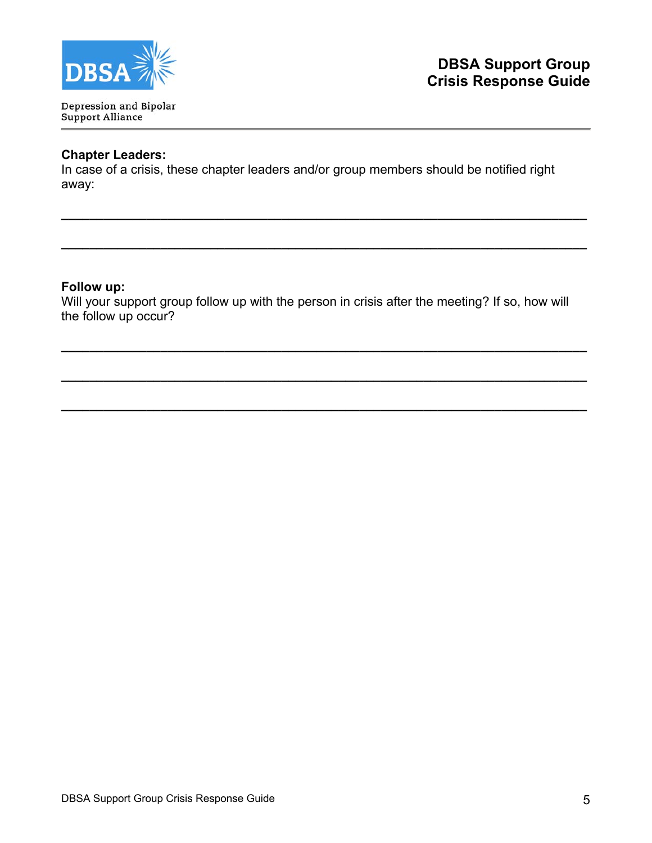

Depression and Bipolar Support Alliance

# **Chapter Leaders:**

In case of a crisis, these chapter leaders and/or group members should be notified right away:

**\_\_\_\_\_\_\_\_\_\_\_\_\_\_\_\_\_\_\_\_\_\_\_\_\_\_\_\_\_\_\_\_\_\_\_\_\_\_\_\_\_\_\_\_\_\_\_\_\_\_\_\_\_\_\_\_\_\_\_\_\_\_\_\_\_\_\_\_\_\_\_\_\_\_**

**\_\_\_\_\_\_\_\_\_\_\_\_\_\_\_\_\_\_\_\_\_\_\_\_\_\_\_\_\_\_\_\_\_\_\_\_\_\_\_\_\_\_\_\_\_\_\_\_\_\_\_\_\_\_\_\_\_\_\_\_\_\_\_\_\_\_\_\_\_\_\_\_\_\_**

#### **Follow up:**

Will your support group follow up with the person in crisis after the meeting? If so, how will the follow up occur?

**\_\_\_\_\_\_\_\_\_\_\_\_\_\_\_\_\_\_\_\_\_\_\_\_\_\_\_\_\_\_\_\_\_\_\_\_\_\_\_\_\_\_\_\_\_\_\_\_\_\_\_\_\_\_\_\_\_\_\_\_\_\_\_\_\_\_\_\_\_\_\_\_\_\_**

**\_\_\_\_\_\_\_\_\_\_\_\_\_\_\_\_\_\_\_\_\_\_\_\_\_\_\_\_\_\_\_\_\_\_\_\_\_\_\_\_\_\_\_\_\_\_\_\_\_\_\_\_\_\_\_\_\_\_\_\_\_\_\_\_\_\_\_\_\_\_\_\_\_\_** 

**\_\_\_\_\_\_\_\_\_\_\_\_\_\_\_\_\_\_\_\_\_\_\_\_\_\_\_\_\_\_\_\_\_\_\_\_\_\_\_\_\_\_\_\_\_\_\_\_\_\_\_\_\_\_\_\_\_\_\_\_\_\_\_\_\_\_\_\_\_\_\_\_\_\_**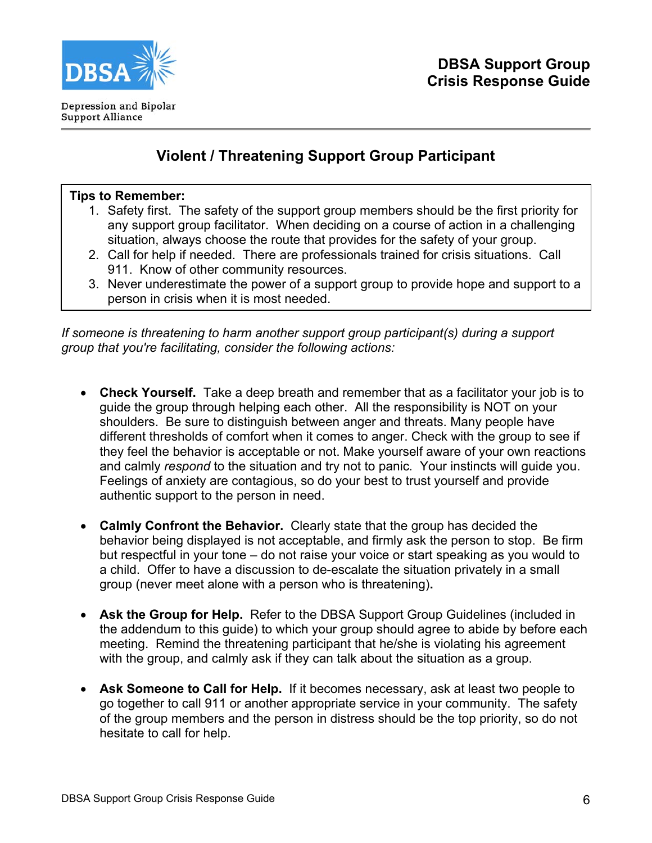

# **Violent / Threatening Support Group Participant**

#### **Tips to Remember:**

- 1. Safety first. The safety of the support group members should be the first priority for any support group facilitator. When deciding on a course of action in a challenging situation, always choose the route that provides for the safety of your group.
- 2. Call for help if needed. There are professionals trained for crisis situations. Call 911. Know of other community resources.
- 3. Never underestimate the power of a support group to provide hope and support to a person in crisis when it is most needed.

*If someone is threatening to harm another support group participant(s) during a support group that you're facilitating, consider the following actions:* 

- **Check Yourself.** Take a deep breath and remember that as a facilitator your job is to guide the group through helping each other. All the responsibility is NOT on your shoulders. Be sure to distinguish between anger and threats. Many people have different thresholds of comfort when it comes to anger. Check with the group to see if they feel the behavior is acceptable or not. Make yourself aware of your own reactions and calmly *respond* to the situation and try not to panic*.* Your instincts will guide you. Feelings of anxiety are contagious, so do your best to trust yourself and provide authentic support to the person in need.
- **Calmly Confront the Behavior.** Clearly state that the group has decided the behavior being displayed is not acceptable, and firmly ask the person to stop. Be firm but respectful in your tone – do not raise your voice or start speaking as you would to a child. Offer to have a discussion to de-escalate the situation privately in a small group (never meet alone with a person who is threatening)**.**
- **Ask the Group for Help.** Refer to the DBSA Support Group Guidelines (included in the addendum to this guide) to which your group should agree to abide by before each meeting. Remind the threatening participant that he/she is violating his agreement with the group, and calmly ask if they can talk about the situation as a group.
- **Ask Someone to Call for Help.** If it becomes necessary, ask at least two people to go together to call 911 or another appropriate service in your community. The safety of the group members and the person in distress should be the top priority, so do not hesitate to call for help.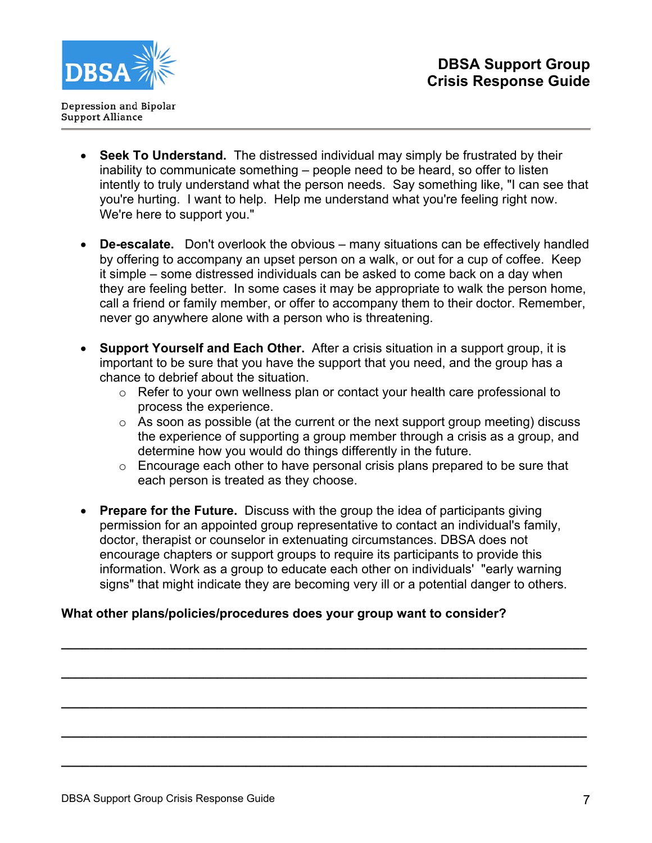

- **Seek To Understand.** The distressed individual may simply be frustrated by their inability to communicate something – people need to be heard, so offer to listen intently to truly understand what the person needs. Say something like, "I can see that you're hurting. I want to help. Help me understand what you're feeling right now. We're here to support you."
- **De-escalate.** Don't overlook the obvious many situations can be effectively handled by offering to accompany an upset person on a walk, or out for a cup of coffee. Keep it simple – some distressed individuals can be asked to come back on a day when they are feeling better. In some cases it may be appropriate to walk the person home, call a friend or family member, or offer to accompany them to their doctor. Remember, never go anywhere alone with a person who is threatening.
- **Support Yourself and Each Other.** After a crisis situation in a support group, it is important to be sure that you have the support that you need, and the group has a chance to debrief about the situation.
	- o Refer to your own wellness plan or contact your health care professional to process the experience.
	- $\circ$  As soon as possible (at the current or the next support group meeting) discuss the experience of supporting a group member through a crisis as a group, and determine how you would do things differently in the future.
	- $\circ$  Encourage each other to have personal crisis plans prepared to be sure that each person is treated as they choose.
- **Prepare for the Future.** Discuss with the group the idea of participants giving permission for an appointed group representative to contact an individual's family, doctor, therapist or counselor in extenuating circumstances. DBSA does not encourage chapters or support groups to require its participants to provide this information. Work as a group to educate each other on individuals' "early warning signs" that might indicate they are becoming very ill or a potential danger to others.

**\_\_\_\_\_\_\_\_\_\_\_\_\_\_\_\_\_\_\_\_\_\_\_\_\_\_\_\_\_\_\_\_\_\_\_\_\_\_\_\_\_\_\_\_\_\_\_\_\_\_\_\_\_\_\_\_\_\_\_\_\_\_\_\_\_\_\_\_\_\_\_\_\_\_**

**\_\_\_\_\_\_\_\_\_\_\_\_\_\_\_\_\_\_\_\_\_\_\_\_\_\_\_\_\_\_\_\_\_\_\_\_\_\_\_\_\_\_\_\_\_\_\_\_\_\_\_\_\_\_\_\_\_\_\_\_\_\_\_\_\_\_\_\_\_\_\_\_\_\_**

**\_\_\_\_\_\_\_\_\_\_\_\_\_\_\_\_\_\_\_\_\_\_\_\_\_\_\_\_\_\_\_\_\_\_\_\_\_\_\_\_\_\_\_\_\_\_\_\_\_\_\_\_\_\_\_\_\_\_\_\_\_\_\_\_\_\_\_\_\_\_\_\_\_\_**

**\_\_\_\_\_\_\_\_\_\_\_\_\_\_\_\_\_\_\_\_\_\_\_\_\_\_\_\_\_\_\_\_\_\_\_\_\_\_\_\_\_\_\_\_\_\_\_\_\_\_\_\_\_\_\_\_\_\_\_\_\_\_\_\_\_\_\_\_\_\_\_\_\_\_**

**\_\_\_\_\_\_\_\_\_\_\_\_\_\_\_\_\_\_\_\_\_\_\_\_\_\_\_\_\_\_\_\_\_\_\_\_\_\_\_\_\_\_\_\_\_\_\_\_\_\_\_\_\_\_\_\_\_\_\_\_\_\_\_\_\_\_\_\_\_\_\_\_\_\_**

# **What other plans/policies/procedures does your group want to consider?**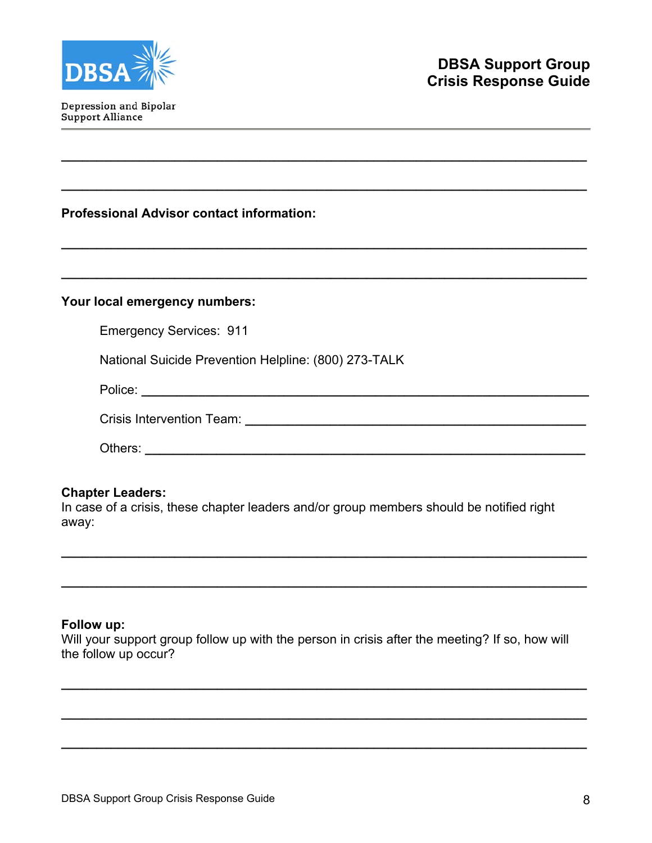

Depression and Bipolar Support Alliance

# **Professional Advisor contact information:**

#### **Your local emergency numbers:**

Emergency Services: 911

National Suicide Prevention Helpline: (800) 273-TALK

Police: **\_\_\_\_\_\_\_\_\_\_\_\_\_\_\_\_\_\_\_\_\_\_\_\_\_\_\_\_\_\_\_\_\_\_\_\_\_\_\_\_\_\_\_\_\_\_\_\_\_\_\_\_\_\_\_\_\_\_\_\_\_\_\_** 

Crisis Intervention Team: **Example 2018** 

**\_\_\_\_\_\_\_\_\_\_\_\_\_\_\_\_\_\_\_\_\_\_\_\_\_\_\_\_\_\_\_\_\_\_\_\_\_\_\_\_\_\_\_\_\_\_\_\_\_\_\_\_\_\_\_\_\_\_\_\_\_\_\_\_\_\_\_\_\_\_\_\_\_\_**

**\_\_\_\_\_\_\_\_\_\_\_\_\_\_\_\_\_\_\_\_\_\_\_\_\_\_\_\_\_\_\_\_\_\_\_\_\_\_\_\_\_\_\_\_\_\_\_\_\_\_\_\_\_\_\_\_\_\_\_\_\_\_\_\_\_\_\_\_\_\_\_\_\_\_** 

**\_\_\_\_\_\_\_\_\_\_\_\_\_\_\_\_\_\_\_\_\_\_\_\_\_\_\_\_\_\_\_\_\_\_\_\_\_\_\_\_\_\_\_\_\_\_\_\_\_\_\_\_\_\_\_\_\_\_\_\_\_\_\_\_\_\_\_\_\_\_\_\_\_\_**

**\_\_\_\_\_\_\_\_\_\_\_\_\_\_\_\_\_\_\_\_\_\_\_\_\_\_\_\_\_\_\_\_\_\_\_\_\_\_\_\_\_\_\_\_\_\_\_\_\_\_\_\_\_\_\_\_\_\_\_\_\_\_\_\_\_\_\_\_\_\_\_\_\_\_** 

| Others: |  |  |  |
|---------|--|--|--|
|         |  |  |  |

#### **Chapter Leaders:**

In case of a crisis, these chapter leaders and/or group members should be notified right away:

**\_\_\_\_\_\_\_\_\_\_\_\_\_\_\_\_\_\_\_\_\_\_\_\_\_\_\_\_\_\_\_\_\_\_\_\_\_\_\_\_\_\_\_\_\_\_\_\_\_\_\_\_\_\_\_\_\_\_\_\_\_\_\_\_\_\_\_\_\_\_\_\_\_\_**

**\_\_\_\_\_\_\_\_\_\_\_\_\_\_\_\_\_\_\_\_\_\_\_\_\_\_\_\_\_\_\_\_\_\_\_\_\_\_\_\_\_\_\_\_\_\_\_\_\_\_\_\_\_\_\_\_\_\_\_\_\_\_\_\_\_\_\_\_\_\_\_\_\_\_**

#### **Follow up:**

Will your support group follow up with the person in crisis after the meeting? If so, how will the follow up occur?

**\_\_\_\_\_\_\_\_\_\_\_\_\_\_\_\_\_\_\_\_\_\_\_\_\_\_\_\_\_\_\_\_\_\_\_\_\_\_\_\_\_\_\_\_\_\_\_\_\_\_\_\_\_\_\_\_\_\_\_\_\_\_\_\_\_\_\_\_\_\_\_\_\_\_**

**\_\_\_\_\_\_\_\_\_\_\_\_\_\_\_\_\_\_\_\_\_\_\_\_\_\_\_\_\_\_\_\_\_\_\_\_\_\_\_\_\_\_\_\_\_\_\_\_\_\_\_\_\_\_\_\_\_\_\_\_\_\_\_\_\_\_\_\_\_\_\_\_\_\_** 

**\_\_\_\_\_\_\_\_\_\_\_\_\_\_\_\_\_\_\_\_\_\_\_\_\_\_\_\_\_\_\_\_\_\_\_\_\_\_\_\_\_\_\_\_\_\_\_\_\_\_\_\_\_\_\_\_\_\_\_\_\_\_\_\_\_\_\_\_\_\_\_\_\_\_**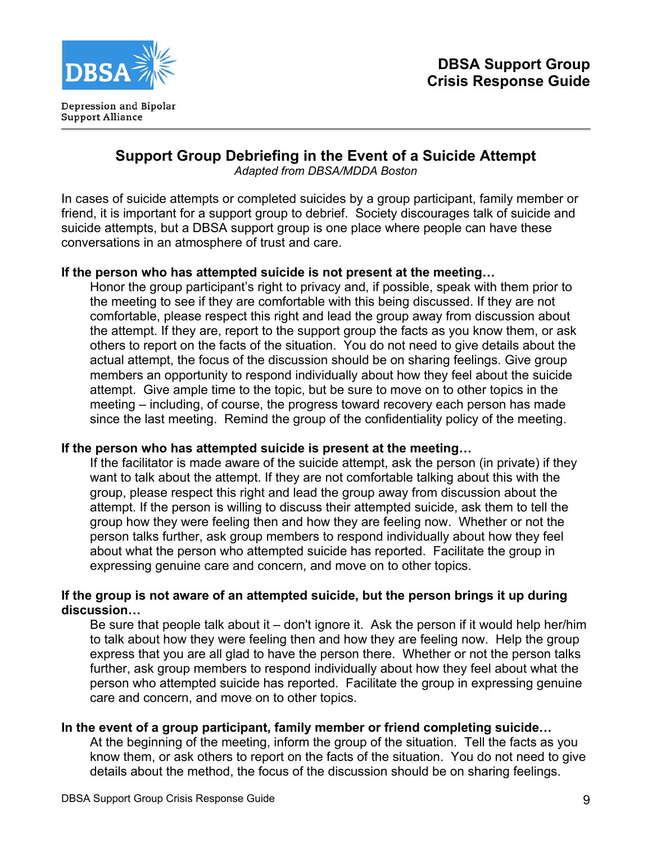

# **Support Group Debriefing in the Event of a Suicide Attempt**

*Adapted from DBSA/MDDA Boston* 

In cases of suicide attempts or completed suicides by a group participant, family member or friend, it is important for a support group to debrief. Society discourages talk of suicide and suicide attempts, but a DBSA support group is one place where people can have these conversations in an atmosphere of trust and care.

# **If the person who has attempted suicide is not present at the meeting…**

Honor the group participant's right to privacy and, if possible, speak with them prior to the meeting to see if they are comfortable with this being discussed. If they are not comfortable, please respect this right and lead the group away from discussion about the attempt. If they are, report to the support group the facts as you know them, or ask others to report on the facts of the situation. You do not need to give details about the actual attempt, the focus of the discussion should be on sharing feelings. Give group members an opportunity to respond individually about how they feel about the suicide attempt. Give ample time to the topic, but be sure to move on to other topics in the meeting – including, of course, the progress toward recovery each person has made since the last meeting. Remind the group of the confidentiality policy of the meeting.

# **If the person who has attempted suicide is present at the meeting…**

If the facilitator is made aware of the suicide attempt, ask the person (in private) if they want to talk about the attempt. If they are not comfortable talking about this with the group, please respect this right and lead the group away from discussion about the attempt. If the person is willing to discuss their attempted suicide, ask them to tell the group how they were feeling then and how they are feeling now. Whether or not the person talks further, ask group members to respond individually about how they feel about what the person who attempted suicide has reported. Facilitate the group in expressing genuine care and concern, and move on to other topics.

# **If the group is not aware of an attempted suicide, but the person brings it up during discussion…**

Be sure that people talk about it – don't ignore it. Ask the person if it would help her/him to talk about how they were feeling then and how they are feeling now. Help the group express that you are all glad to have the person there. Whether or not the person talks further, ask group members to respond individually about how they feel about what the person who attempted suicide has reported. Facilitate the group in expressing genuine care and concern, and move on to other topics.

# **In the event of a group participant, family member or friend completing suicide…**

At the beginning of the meeting, inform the group of the situation. Tell the facts as you know them, or ask others to report on the facts of the situation. You do not need to give details about the method, the focus of the discussion should be on sharing feelings.